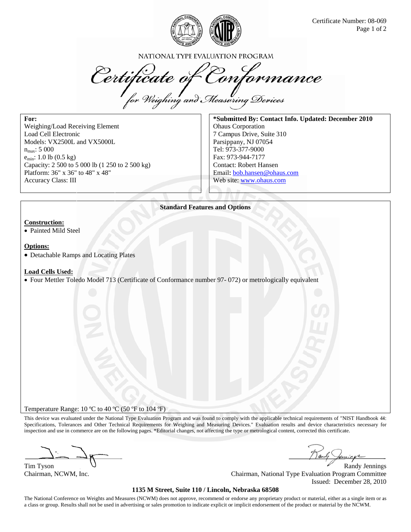

NATIONAL TYPE EVALUATION PROGRAM

Certificate of Conformance<br>for Weighing and Measuring Devices

For: Weighing/Load Receiving Element Load Cell Electronic Models: VX2500L and VX5000L  $n_{\text{max}}$ : 5 000  $e_{min}$ : 1.0 lb (0.5 kg) Capacity: 2 500 to 5 000 lb (1 250 to 2 500 kg) Platform: 36" x 36" to 48" x 48" Accuracy Class: III

\*Submitted By: Contact Info. Updated: December 2010 **Ohaus** Corporation 7 Campus Drive, Suite 310 Parsippany, NJ 07054 Tel: 973-377-9000 Fax: 973-944-7177 **Contact: Robert Hansen** Email: bob.hansen@ohaus.com Web site: www.ohaus.com

**Standard Features and Options** 

## **Construction:**

• Painted Mild Steel

#### **Options:**

• Detachable Ramps and Locating Plates

#### **Load Cells Used:**

• Four Mettler Toledo Model 713 (Certificate of Conformance number 97- 072) or metrologically equivalent

Temperature Range: 10 °C to 40 °C (50 °F to 104 °F)

This device was evaluated under the National Type Evaluation Program and was found to comply with the applicable technical requirements of "NIST Handbook 44: Specifications, Tolerances and Other Technical Requirements for Weighing and Measuring Devices." Evaluation results and device characteristics necessary for inspection and use in commerce are on the following pages. \*Editorial changes, not affecting the type or metrological content, corrected this certificate.

Tim Tyson

Chairman, NCWM, Inc.

**Randy Jennings** Chairman, National Type Evaluation Program Committee Issued: December 28, 2010

## 1135 M Street, Suite 110 / Lincoln, Nebraska 68508

The National Conference on Weights and Measures (NCWM) does not approve, recommend or endorse any proprietary product or material, either as a single item or as a class or group. Results shall not be used in advertising or sales promotion to indicate explicit or implicit endorsement of the product or material by the NCWM.